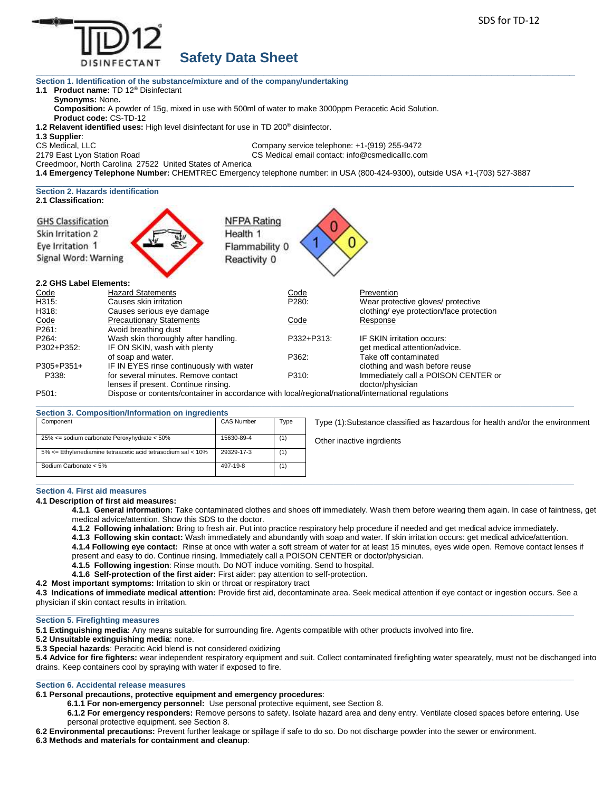

# **Safety Data Sheet**

**Section 1. Identification of the substance/mixture and of the company/undertaking**

**1.1 Product name:** TD 12® Disinfectant

**Synonyms:** None**.**

**Composition:** A powder of 15g, mixed in use with 500ml of water to make 3000ppm Peracetic Acid Solution. **Product code:** CS-TD-12

**1.2 Relavent identified uses:** High level disinfectant for use in TD 200® disinfector.

**1.3 Supplier**:

CS Medical, LLC Company service telephone: +1-(919) 255-9472 2179 East Lyon Station Road CS Medical email contact: info@csmedicalllc.com

Creedmoor, North Carolina 27522 United States of America

**1.4 Emergency Telephone Number:** CHEMTREC Emergency telephone number: in USA (800-424-9300), outside USA +1-(703) 527-3887

#### $\_$  , and the set of the set of the set of the set of the set of the set of the set of the set of the set of the set of the set of the set of the set of the set of the set of the set of the set of the set of the set of th **Section 2. Hazards identification 2.1 Classification:**

| <b>GHS Classification</b> | <b>NFPA Rating</b>                                                                                 |            |                                          |  |
|---------------------------|----------------------------------------------------------------------------------------------------|------------|------------------------------------------|--|
| Skin Irritation 2         | Health 1                                                                                           |            |                                          |  |
| Eye Irritation 1          | Flammability 0                                                                                     |            |                                          |  |
| Signal Word: Warning      | Reactivity 0                                                                                       |            |                                          |  |
| 2.2 GHS Label Elements:   |                                                                                                    |            |                                          |  |
| Code                      | <b>Hazard Statements</b>                                                                           | Code       | Prevention                               |  |
| H315:                     | Causes skin irritation                                                                             | P280:      | Wear protective gloves/ protective       |  |
| H318:                     | Causes serious eye damage                                                                          |            | clothing/ eye protection/face protection |  |
| Code                      | <b>Precautionary Statements</b>                                                                    | Code       | Response                                 |  |
| P261:                     | Avoid breathing dust                                                                               |            |                                          |  |
| P264:                     | Wash skin thoroughly after handling.                                                               | P332+P313: | IF SKIN irritation occurs:               |  |
| P302+P352:                | IF ON SKIN, wash with plenty                                                                       |            | get medical attention/advice.            |  |
|                           | of soap and water.                                                                                 | P362:      | Take off contaminated                    |  |
| $P305 + P351 +$           | IF IN EYES rinse continuously with water                                                           |            | clothing and wash before reuse           |  |
| P338:                     | for several minutes. Remove contact                                                                | P310:      | Immediately call a POISON CENTER or      |  |
|                           | lenses if present. Continue rinsing.                                                               |            | doctor/physician                         |  |
| P501:                     | Dispose or contents/container in accordance with local/regional/national/international regulations |            |                                          |  |

#### $\_$  , and the set of the set of the set of the set of the set of the set of the set of the set of the set of the set of the set of the set of the set of the set of the set of the set of the set of the set of the set of th **Section 3. Composition/Information on ingredients**

| Component                                                    | <b>CAS Number</b> | Type | Type (1):Substance classified as hazardous for health and/or the environment |
|--------------------------------------------------------------|-------------------|------|------------------------------------------------------------------------------|
| 25% <= sodium carbonate Peroxyhydrate < 50%                  | 15630-89-4        | (1)  | Other inactive ingrdients                                                    |
| 5% <= Ethylenediamine tetraacetic acid tetrasodium sal < 10% | 29329-17-3        | (1)  |                                                                              |
| Sodium Carbonate < 5%                                        | 497-19-8          | (1)  |                                                                              |
|                                                              |                   |      |                                                                              |

## **Section 4. First aid measures**

**4.1 Description of first aid measures:**

**4.1.1 General information:** Take contaminated clothes and shoes off immediately. Wash them before wearing them again. In case of faintness, get medical advice/attention. Show this SDS to the doctor.

**4.1.2 Following inhalation:** Bring to fresh air. Put into practice respiratory help procedure if needed and get medical advice immediately.

**4.1.3 Following skin contact:** Wash immediately and abundantly with soap and water. If skin irritation occurs: get medical advice/attention.

**4.1.4 Following eye contact:** Rinse at once with water a soft stream of water for at least 15 minutes, eyes wide open. Remove contact lenses if present and easy to do. Continue rinsing. Immediately call a POISON CENTER or doctor/physician.

**4.1.5 Following ingestion**: Rinse mouth. Do NOT induce vomiting. Send to hospital.

**4.1.6 Self-protection of the first aider:** First aider: pay attention to self-protection.

**4.2 Most important symptoms:** Irritation to skin or throat or respiratory tract

**4.3 Indications of immediate medical attention:** Provide first aid, decontaminate area. Seek medical attention if eye contact or ingestion occurs. See a physician if skin contact results in irritation.  $\_$  , and the state of the state of the state of the state of the state of the state of the state of the state of the state of the state of the state of the state of the state of the state of the state of the state of the

# **Section 5. Firefighting measures**

**5.1 Extinguishing media:** Any means suitable for surrounding fire. Agents compatible with other products involved into fire.

**5.2 Unsuitable extinguishing media**: none.

**5.3 Special hazards**: Peracitic Acid blend is not considered oxidizing

**5.4 Advice for fire fighters:** wear independent respiratory equipment and suit. Collect contaminated firefighting water spearately, must not be dischanged into drains. Keep containers cool by spraying with water if exposed to fire.

#### $\_$  ,  $\_$  ,  $\_$  ,  $\_$  ,  $\_$  ,  $\_$  ,  $\_$  ,  $\_$  ,  $\_$  ,  $\_$  ,  $\_$  ,  $\_$  ,  $\_$  ,  $\_$  ,  $\_$  ,  $\_$  ,  $\_$  ,  $\_$  ,  $\_$  ,  $\_$  ,  $\_$  ,  $\_$  ,  $\_$  ,  $\_$  ,  $\_$  ,  $\_$  ,  $\_$  ,  $\_$  ,  $\_$  ,  $\_$  ,  $\_$  ,  $\_$  ,  $\_$  ,  $\_$  ,  $\_$  ,  $\_$  ,  $\_$  , **Section 6. Accidental release measures**

- **6.1 Personal precautions, protective equipment and emergency procedures**:
	- **6.1.1 For non-emergency personnel:** Use personal protective equiment, see Section 8.
	- **6.1.2 For emergency responders:** Remove persons to safety. Isolate hazard area and deny entry. Ventilate closed spaces before entering. Use personal protective equipment. see Section 8.

**6.2 Environmental precautions:** Prevent further leakage or spillage if safe to do so. Do not discharge powder into the sewer or environment.

**6.3 Methods and materials for containment and cleanup**: